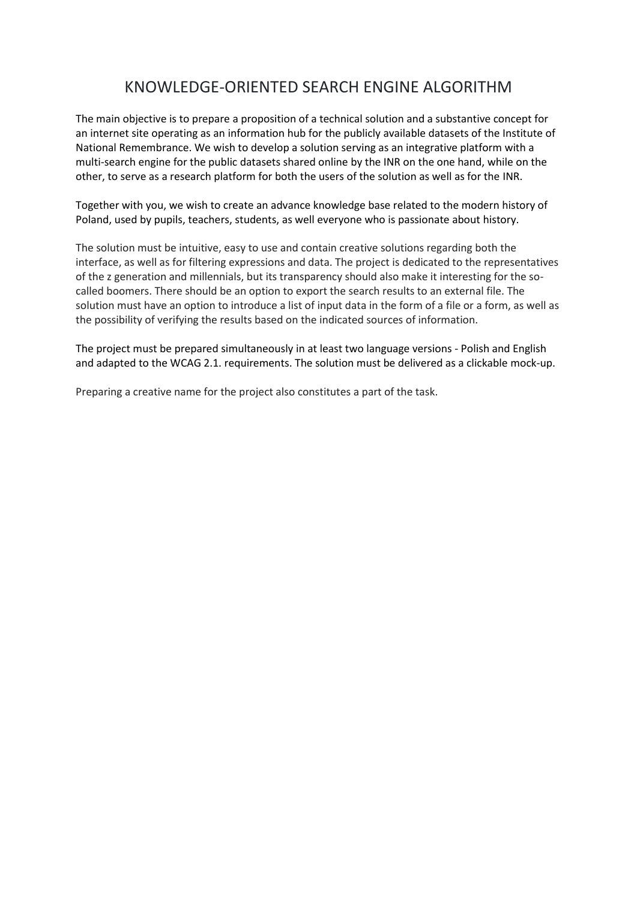# KNOWLEDGE-ORIENTED SEARCH ENGINE ALGORITHM

The main objective is to prepare a proposition of a technical solution and a substantive concept for an internet site operating as an information hub for the publicly available datasets of the Institute of National Remembrance. We wish to develop a solution serving as an integrative platform with a multi-search engine for the public datasets shared online by the INR on the one hand, while on the other, to serve as a research platform for both the users of the solution as well as for the INR.

Together with you, we wish to create an advance knowledge base related to the modern history of Poland, used by pupils, teachers, students, as well everyone who is passionate about history.

The solution must be intuitive, easy to use and contain creative solutions regarding both the interface, as well as for filtering expressions and data. The project is dedicated to the representatives of the z generation and millennials, but its transparency should also make it interesting for the socalled boomers. There should be an option to export the search results to an external file. The solution must have an option to introduce a list of input data in the form of a file or a form, as well as the possibility of verifying the results based on the indicated sources of information.

The project must be prepared simultaneously in at least two language versions - Polish and English and adapted to the WCAG 2.1. requirements. The solution must be delivered as a clickable mock-up.

Preparing a creative name for the project also constitutes a part of the task.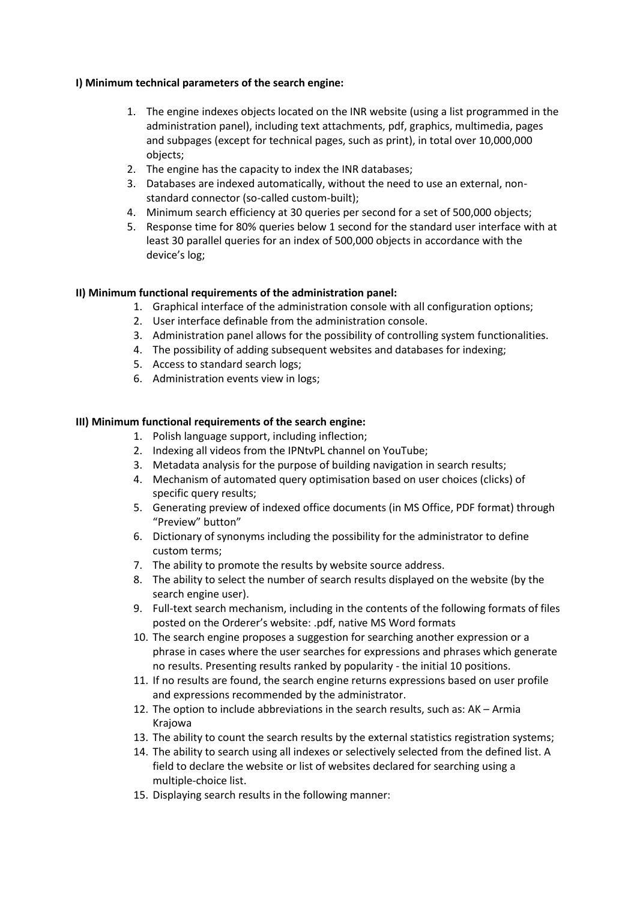## **I) Minimum technical parameters of the search engine:**

- 1. The engine indexes objects located on the INR website (using a list programmed in the administration panel), including text attachments, pdf, graphics, multimedia, pages and subpages (except for technical pages, such as print), in total over 10,000,000 objects;
- 2. The engine has the capacity to index the INR databases;
- 3. Databases are indexed automatically, without the need to use an external, nonstandard connector (so-called custom-built);
- 4. Minimum search efficiency at 30 queries per second for a set of 500,000 objects;
- 5. Response time for 80% queries below 1 second for the standard user interface with at least 30 parallel queries for an index of 500,000 objects in accordance with the device's log;

## **II) Minimum functional requirements of the administration panel:**

- 1. Graphical interface of the administration console with all configuration options;
- 2. User interface definable from the administration console.
- 3. Administration panel allows for the possibility of controlling system functionalities.
- 4. The possibility of adding subsequent websites and databases for indexing;
- 5. Access to standard search logs;
- 6. Administration events view in logs;

## **III) Minimum functional requirements of the search engine:**

- 1. Polish language support, including inflection;
- 2. Indexing all videos from the IPNtvPL channel on YouTube;
- 3. Metadata analysis for the purpose of building navigation in search results;
- 4. Mechanism of automated query optimisation based on user choices (clicks) of specific query results;
- 5. Generating preview of indexed office documents (in MS Office, PDF format) through "Preview" button"
- 6. Dictionary of synonyms including the possibility for the administrator to define custom terms;
- 7. The ability to promote the results by website source address.
- 8. The ability to select the number of search results displayed on the website (by the search engine user).
- 9. Full-text search mechanism, including in the contents of the following formats of files posted on the Orderer's website: .pdf, native MS Word formats
- 10. The search engine proposes a suggestion for searching another expression or a phrase in cases where the user searches for expressions and phrases which generate no results. Presenting results ranked by popularity - the initial 10 positions.
- 11. If no results are found, the search engine returns expressions based on user profile and expressions recommended by the administrator.
- 12. The option to include abbreviations in the search results, such as: AK Armia Krajowa
- 13. The ability to count the search results by the external statistics registration systems;
- 14. The ability to search using all indexes or selectively selected from the defined list. A field to declare the website or list of websites declared for searching using a multiple-choice list.
- 15. Displaying search results in the following manner: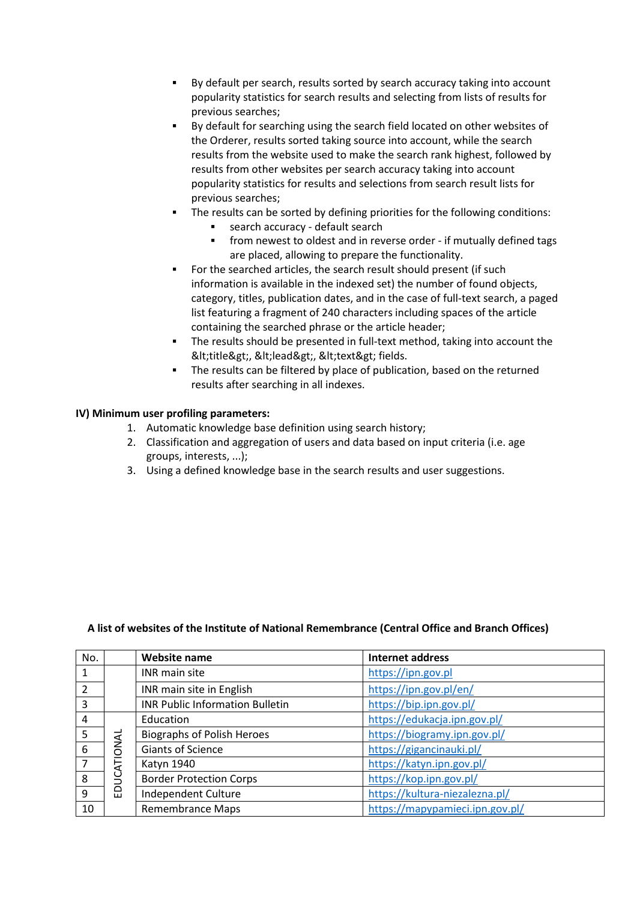- By default per search, results sorted by search accuracy taking into account popularity statistics for search results and selecting from lists of results for previous searches;
- By default for searching using the search field located on other websites of the Orderer, results sorted taking source into account, while the search results from the website used to make the search rank highest, followed by results from other websites per search accuracy taking into account popularity statistics for results and selections from search result lists for previous searches;
- The results can be sorted by defining priorities for the following conditions:
	- search accuracy default search
	- from newest to oldest and in reverse order if mutually defined tags are placed, allowing to prepare the functionality.
- For the searched articles, the search result should present (if such information is available in the indexed set) the number of found objects, category, titles, publication dates, and in the case of full-text search, a paged list featuring a fragment of 240 characters including spaces of the article containing the searched phrase or the article header;
- **•** The results should be presented in full-text method, taking into account the <title&gt;, &lt;lead&gt;, &lt;text&gt; fields.
- The results can be filtered by place of publication, based on the returned results after searching in all indexes.

## **IV) Minimum user profiling parameters:**

- 1. Automatic knowledge base definition using search history;
- 2. Classification and aggregation of users and data based on input criteria (i.e. age groups, interests, ...);
- 3. Using a defined knowledge base in the search results and user suggestions.

| No.            |                 | <b>Website name</b>                    | <b>Internet address</b>         |
|----------------|-----------------|----------------------------------------|---------------------------------|
| 1              |                 | INR main site                          | https://ipn.gov.pl              |
| $\overline{2}$ |                 | INR main site in English               | https://ipn.gov.pl/en/          |
| 3              |                 | <b>INR Public Information Bulletin</b> | https://bip.ipn.gov.pl/         |
| 4              |                 | Education                              | https://edukacja.ipn.gov.pl/    |
| 5              |                 | <b>Biographs of Polish Heroes</b>      | https://biogramy.ipn.gov.pl/    |
| 6              |                 | <b>Giants of Science</b>               | https://gigancinauki.pl/        |
| $\overline{7}$ | ATIONAL<br>EDUC | Katyn 1940                             | https://katyn.ipn.gov.pl/       |
| 8              |                 | <b>Border Protection Corps</b>         | https://kop.ipn.gov.pl/         |
| 9              |                 | Independent Culture                    | https://kultura-niezalezna.pl/  |
| 10             |                 | <b>Remembrance Maps</b>                | https://mapypamieci.ipn.gov.pl/ |

### **A list of websites of the Institute of National Remembrance (Central Office and Branch Offices)**